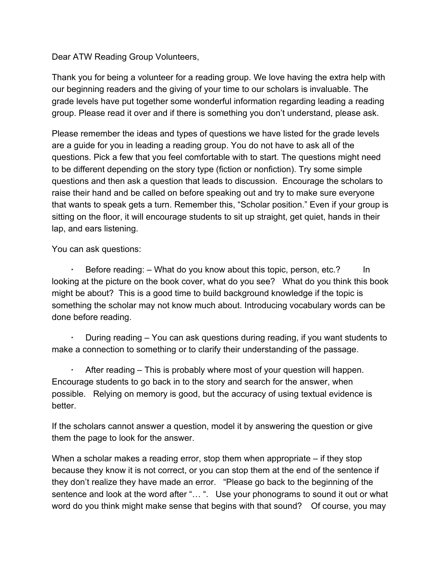### Dear ATW Reading Group Volunteers,

Thank you for being a volunteer for a reading group. We love having the extra help with our beginning readers and the giving of your time to our scholars is invaluable. The grade levels have put together some wonderful information regarding leading a reading group. Please read it over and if there is something you don't understand, please ask.

Please remember the ideas and types of questions we have listed for the grade levels are a guide for you in leading a reading group. You do not have to ask all of the questions. Pick a few that you feel comfortable with to start. The questions might need to be different depending on the story type (fiction or nonfiction). Try some simple questions and then ask a question that leads to discussion. Encourage the scholars to raise their hand and be called on before speaking out and try to make sure everyone that wants to speak gets a turn. Remember this, "Scholar position." Even if your group is sitting on the floor, it will encourage students to sit up straight, get quiet, hands in their lap, and ears listening.

You can ask questions:

Before reading: – What do you know about this topic, person, etc.? In looking at the picture on the book cover, what do you see? What do you think this book might be about? This is a good time to build background knowledge if the topic is something the scholar may not know much about. Introducing vocabulary words can be done before reading.

**·** During reading – You can ask questions during reading, if you want students to make a connection to something or to clarify their understanding of the passage.

**·** After reading – This is probably where most of your question will happen. Encourage students to go back in to the story and search for the answer, when possible. Relying on memory is good, but the accuracy of using textual evidence is better.

If the scholars cannot answer a question, model it by answering the question or give them the page to look for the answer.

When a scholar makes a reading error, stop them when appropriate – if they stop because they know it is not correct, or you can stop them at the end of the sentence if they don't realize they have made an error. "Please go back to the beginning of the sentence and look at the word after "... ". Use your phonograms to sound it out or what word do you think might make sense that begins with that sound? Of course, you may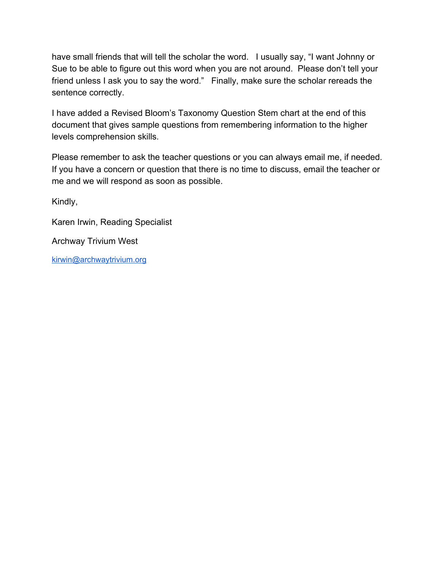have small friends that will tell the scholar the word. I usually say, "I want Johnny or Sue to be able to figure out this word when you are not around. Please don't tell your friend unless I ask you to say the word." Finally, make sure the scholar rereads the sentence correctly.

I have added a Revised Bloom's Taxonomy Question Stem chart at the end of this document that gives sample questions from remembering information to the higher levels comprehension skills.

Please remember to ask the teacher questions or you can always email me, if needed. If you have a concern or question that there is no time to discuss, email the teacher or me and we will respond as soon as possible.

Kindly,

Karen Irwin, Reading Specialist Archway Trivium West

[kirwin@archwaytrivium.org](mailto:kirwin@archwaytrivium.org)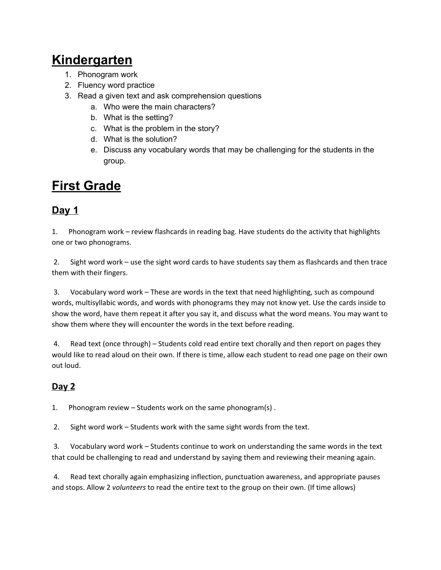# **Kindergarten**

- 1. Phonogram work
- 2. Fluency word practice
- 3. Read a given text and ask comprehension questions
	- a. Who were the main characters?
	- b. What is the setting?
	- c. What is the problem in the story?
	- d. What is the solution?
	- e. Discuss any vocabulary words that may be challenging for the students in the group.

# **First Grade**

## **Day 1**

1. one or two phonograms. 1. Phonogram work – review flashcards in reading bag. Have students do the activity that highlights

 $2.$  them with their fingers. 2. Sight word work – use the sight word cards to have students say them as flashcards and then trace

 $3.$  words, multisyllabic words, and words with phonograms they may not know yet. Use the cards inside to show the word, have them repeat it after you say it, and discuss what the word means. You may want to show them where they will encounter the words in the text before reading. 3. Vocabulary word work – These are words in the text that need highlighting, such as compound

4. would like to read aloud on their own. If there is time, allow each student to read one page on their own Read text (once through) – Students cold read entire text chorally and then report on pages they out loud.

## **Day 2**

 $1.$ Phonogram review – Students work on the same phonogram(s).

 $2.$ Sight word work – Students work with the same sight words from the text.

 $3.$  that could be challenging to read and understand by saying them and reviewing their meaning again. 3. Vocabulary word work – Students continue to work on understanding the same words in the text

4. and stops. Allow 2 *volunteers* to read the entire text to the group on their own. (If time allows)4. Read text chorally again emphasizing inflection, punctuation awareness, and appropriate pauses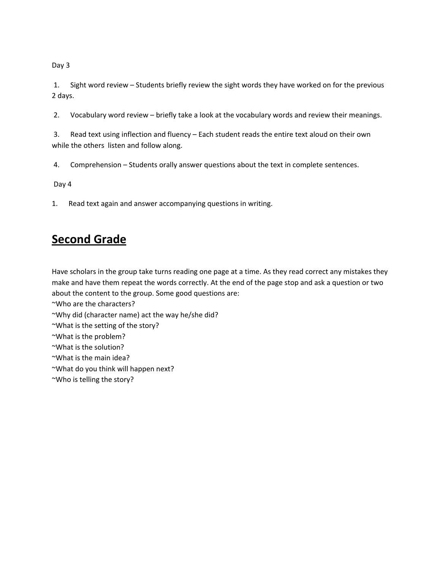Day 3

 $1.$ Sight word review – Students briefly review the sight words they have worked on for the previous 2 days.

 $2.$ 2. Vocabulary word review – briefly take a look at the vocabulary words and review their meanings.

3. while the others listen and follow along. Read text using inflection and fluency – Each student reads the entire text aloud on their own

4. 4. Comprehension – Students orally answer questions about the text in complete sentences.

Day 4

 $1.$ Read text again and answer accompanying questions in writing.

# **Second Grade**

 Have scholars in the group take turns reading one page at a time. As they read correct any mistakes they make and have them repeat the words correctly. At the end of the page stop and ask a question or two about the content to the group. Some good questions are:

~Who are the characters?

~Why did (character name) act the way he/she did?

~What is the setting of the story?

~What is the problem?

~What is the solution?

~What is the main idea?

~What do you think will happen next?

~Who is telling the story?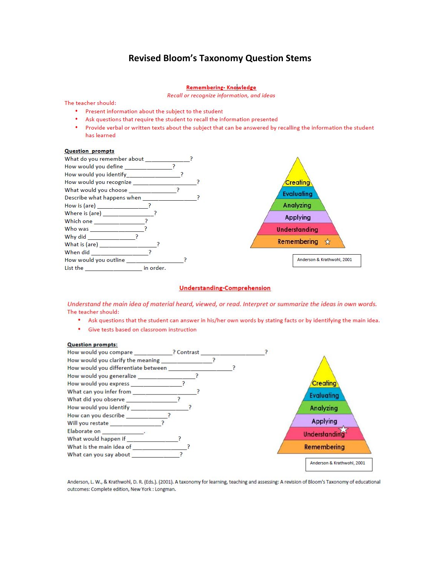### **Revised Bloom's Taxonomy Question Stems**

#### Remembering- Knowledge

Recall or recognize information, and ideas

#### The teacher should:

- Present information about the subject to the student
- Ask questions that require the student to recall the information presented
- $\bullet$ Provide verbal or written texts about the subject that can be answered by recalling the information the student has learned

#### **Question prompts**



#### **Understanding-Comprehension**

Understand the main idea of material heard, viewed, or read. Interpret or summarize the ideas in own words. The teacher should:

- . Ask questions that the student can answer in his/her own words by stating facts or by identifying the main idea.
- Give tests based on classroom instruction

#### **Question prompts:**



Anderson, L. W., & Krathwohl, D. R. (Eds.). (2001). A taxonomy for learning, teaching and assessing: A revision of Bloom's Taxonomy of educational outcomes: Complete edition, New York : Longman.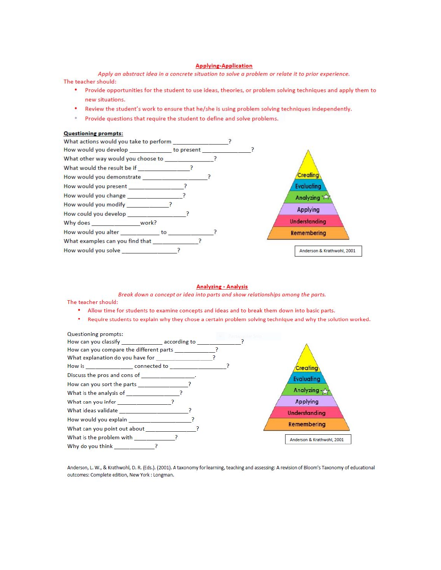#### **Applying-Application**

Apply an abstract idea in a concrete situation to solve a problem or relate it to prior experience. The teacher should:

- Provide opportunities for the student to use ideas, theories, or problem solving techniques and apply them to new situations.
- $\bullet$ Review the student's work to ensure that he/she is using problem solving techniques independently.
- $\circ$ Provide questions that require the student to define and solve problems.

#### **Questioning prompts:**



#### **Analyzing - Analysis**

Break down a concept or idea into parts and show relationships among the parts.

#### The teacher should:

- . Allow time for students to examine concepts and ideas and to break them down into basic parts.
- . Require students to explain why they chose a certain problem solving technique and why the solution worked.



Anderson, L. W., & Krathwohl, D. R. (Eds.). (2001). A taxonomy for learning, teaching and assessing: A revision of Bloom's Taxonomy of educational outcomes: Complete edition, New York : Longman.